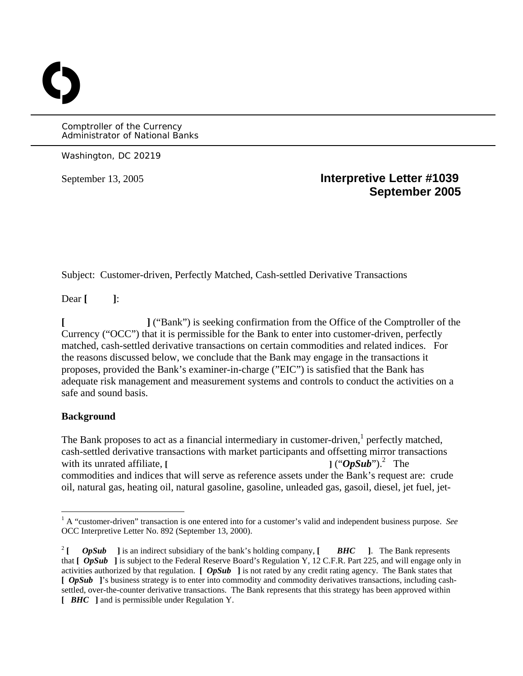Comptroller of the Currency Administrator of National Banks

Washington, DC 20219

O

# September 13, 2005 **Interpretive Letter #1039 September 2005**

Subject: Customer-driven, Perfectly Matched, Cash-settled Derivative Transactions

Dear **[ ]**:

**[ ]** ("Bank") is seeking confirmation from the Office of the Comptroller of the Currency ("OCC") that it is permissible for the Bank to enter into customer-driven, perfectly matched, cash-settled derivative transactions on certain commodities and related indices. For the reasons discussed below, we conclude that the Bank may engage in the transactions it proposes, provided the Bank's examiner-in-charge ("EIC") is satisfied that the Bank has adequate risk management and measurement systems and controls to conduct the activities on a safe and sound basis.

## **Background**

1

The Bank proposes to act as a financial intermediary in customer-driven,<sup>[1](#page-0-0)</sup> perfectly matched, cash-settled derivative transactions with market participants and offsetting mirror transactions with its unrated affiliate,  $\overline{[}$  $1$  ("OpSub").<sup>2</sup> The commodities and indices that will serve as reference assets under the Bank's request are: crude oil, natural gas, heating oil, natural gasoline, gasoline, unleaded gas, gasoil, diesel, jet fuel, jet-

<span id="page-0-0"></span><sup>&</sup>lt;sup>1</sup> A "customer-driven" transaction is one entered into for a customer's valid and independent business purpose. *See* OCC Interpretive Letter No. 892 (September 13, 2000).

<span id="page-0-1"></span><sup>&</sup>lt;sup>2</sup> **[**  $OpSub$  ] is an indirect subsidiary of the bank's holding company, **[**  $BHC$  ]. The Bank represents that **[** *OpSub* **]** is subject to the Federal Reserve Board's Regulation Y, 12 C.F.R. Part 225, and will engage only in activities authorized by that regulation. **[** *OpSub* **]** is not rated by any credit rating agency. The Bank states that [  $OpSub$  ]'s business strategy is to enter into commodity and commodity derivatives transactions, including cashsettled, over-the-counter derivative transactions. The Bank represents that this strategy has been approved within **[** *BHC* **]** and is permissible under Regulation Y.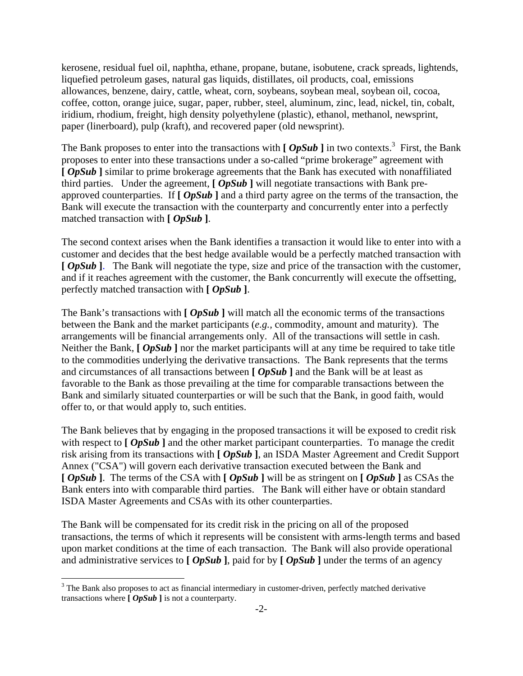kerosene, residual fuel oil, naphtha, ethane, propane, butane, isobutene, crack spreads, lightends, liquefied petroleum gases, natural gas liquids, distillates, oil products, coal, emissions allowances, benzene, dairy, cattle, wheat, corn, soybeans, soybean meal, soybean oil, cocoa, coffee, cotton, orange juice, sugar, paper, rubber, steel, aluminum, zinc, lead, nickel, tin, cobalt, iridium, rhodium, freight, high density polyethylene (plastic), ethanol, methanol, newsprint, paper (linerboard), pulp (kraft), and recovered paper (old newsprint).

The Bank proposes to enter into the transactions with  $[OpSub]$  in two contexts.<sup>[3](#page-1-0)</sup> First, the Bank proposes to enter into these transactions under a so-called "prime brokerage" agreement with **[** *OpSub* **]** similar to prime brokerage agreements that the Bank has executed with nonaffiliated third parties. Under the agreement,  $\int \mathbf{OpSub} \cdot \mathbf{Q}$  will negotiate transactions with Bank preapproved counterparties. If **[** *OpSub* **]** and a third party agree on the terms of the transaction, the Bank will execute the transaction with the counterparty and concurrently enter into a perfectly matched transaction with **[** *OpSub* **]**.

The second context arises when the Bank identifies a transaction it would like to enter into with a customer and decides that the best hedge available would be a perfectly matched transaction with **[** $OpSub$ ]. The Bank will negotiate the type, size and price of the transaction with the customer, and if it reaches agreement with the customer, the Bank concurrently will execute the offsetting, perfectly matched transaction with **[** *OpSub* **]**.

The Bank's transactions with **[** *OpSub* **]** will match all the economic terms of the transactions between the Bank and the market participants (*e.g.,* commodity, amount and maturity). The arrangements will be financial arrangements only. All of the transactions will settle in cash. Neither the Bank,  $\left[ \text{OpSub} \right]$  nor the market participants will at any time be required to take title to the commodities underlying the derivative transactions. The Bank represents that the terms and circumstances of all transactions between **[** *OpSub* ] and the Bank will be at least as favorable to the Bank as those prevailing at the time for comparable transactions between the Bank and similarly situated counterparties or will be such that the Bank, in good faith, would offer to, or that would apply to, such entities.

The Bank believes that by engaging in the proposed transactions it will be exposed to credit risk with respect to  $\left[OpSub\right]$  and the other market participant counterparties. To manage the credit risk arising from its transactions with **[** *OpSub* **]**, an ISDA Master Agreement and Credit Support Annex ("CSA") will govern each derivative transaction executed between the Bank and **[** *OpSub* **]**. The terms of the CSA with **[** *OpSub* **]** will be as stringent on **[** *OpSub* **]** as CSAs the Bank enters into with comparable third parties. The Bank will either have or obtain standard ISDA Master Agreements and CSAs with its other counterparties.

The Bank will be compensated for its credit risk in the pricing on all of the proposed transactions, the terms of which it represents will be consistent with arms-length terms and based upon market conditions at the time of each transaction. The Bank will also provide operational and administrative services to **[** *OpSub* **]**, paid for by **[** *OpSub* **]** under the terms of an agency

 $\overline{a}$ 

<span id="page-1-0"></span> $3$  The Bank also proposes to act as financial intermediary in customer-driven, perfectly matched derivative transactions where **[** *OpSub* **]** is not a counterparty.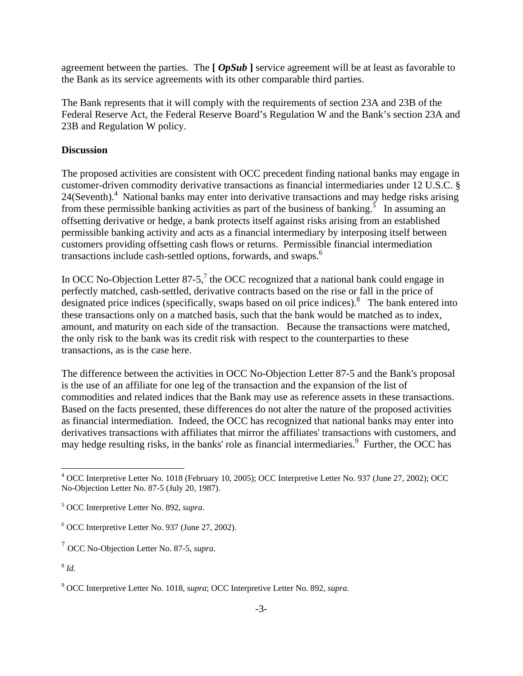agreement between the parties. The **[** *OpSub* **]** service agreement will be at least as favorable to the Bank as its service agreements with its other comparable third parties.

The Bank represents that it will comply with the requirements of section 23A and 23B of the Federal Reserve Act, the Federal Reserve Board's Regulation W and the Bank's section 23A and 23B and Regulation W policy.

# **Discussion**

The proposed activities are consistent with OCC precedent finding national banks may engage in customer-driven commodity derivative transactions as financial intermediaries under 12 U.S.C. § 2[4](#page-2-0)(Seventh).<sup>4</sup> National banks may enter into derivative transactions and may hedge risks arising from these permissible banking activities as part of the business of banking.<sup>[5](#page-2-1)</sup> In assuming an offsetting derivative or hedge, a bank protects itself against risks arising from an established permissible banking activity and acts as a financial intermediary by interposing itself between customers providing offsetting cash flows or returns. Permissible financial intermediation transactions include cash-settled options, forwards, and swaps.[6](#page-2-2)

In OCC No-Objection Letter 8[7](#page-2-3)-5,<sup>7</sup> the OCC recognized that a national bank could engage in perfectly matched, cash-settled, derivative contracts based on the rise or fall in the price of designated price indices (specifically, swaps based on oil price indices).<sup>8</sup> The bank entered into these transactions only on a matched basis, such that the bank would be matched as to index, amount, and maturity on each side of the transaction. Because the transactions were matched, the only risk to the bank was its credit risk with respect to the counterparties to these transactions, as is the case here.

The difference between the activities in OCC No-Objection Letter 87-5 and the Bank's proposal is the use of an affiliate for one leg of the transaction and the expansion of the list of commodities and related indices that the Bank may use as reference assets in these transactions. Based on the facts presented, these differences do not alter the nature of the proposed activities as financial intermediation. Indeed, the OCC has recognized that national banks may enter into derivatives transactions with affiliates that mirror the affiliates' transactions with customers, and may hedge resulting risks, in the banks' role as financial intermediaries.<sup>[9](#page-2-5)</sup> Further, the OCC has

1

<span id="page-2-0"></span><sup>&</sup>lt;sup>4</sup> OCC Interpretive Letter No. 1018 (February 10, 2005); OCC Interpretive Letter No. 937 (June 27, 2002); OCC No-Objection Letter No. 87-5 (July 20, 1987).

<span id="page-2-1"></span><sup>5</sup> OCC Interpretive Letter No. 892, *supra*.

<span id="page-2-2"></span><sup>6</sup> OCC Interpretive Letter No. 937 (June 27, 2002).

<span id="page-2-3"></span><sup>7</sup> OCC No-Objection Letter No. 87-5, *supra.*

<span id="page-2-4"></span><sup>8</sup> *Id.*

<span id="page-2-5"></span><sup>9</sup> OCC Interpretive Letter No. 1018, s*upra*; OCC Interpretive Letter No. 892, *supra.*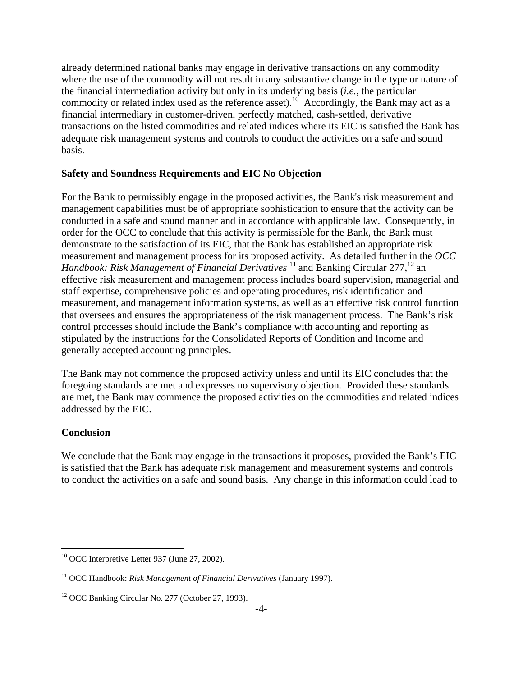already determined national banks may engage in derivative transactions on any commodity where the use of the commodity will not result in any substantive change in the type or nature of the financial intermediation activity but only in its underlying basis (*i.e.,* the particular commodity or related index used as the reference asset).<sup>10</sup> Accordingly, the Bank may act as a financial intermediary in customer-driven, perfectly matched, cash-settled, derivative transactions on the listed commodities and related indices where its EIC is satisfied the Bank has adequate risk management systems and controls to conduct the activities on a safe and sound basis.

#### **Safety and Soundness Requirements and EIC No Objection**

For the Bank to permissibly engage in the proposed activities, the Bank's risk measurement and management capabilities must be of appropriate sophistication to ensure that the activity can be conducted in a safe and sound manner and in accordance with applicable law. Consequently, in order for the OCC to conclude that this activity is permissible for the Bank, the Bank must demonstrate to the satisfaction of its EIC, that the Bank has established an appropriate risk measurement and management process for its proposed activity. As detailed further in the *OCC Handbook: Risk Management of Financial Derivatives* <sup>[11](#page-3-1)</sup> and Banking Circular 277,<sup>[12](#page-3-2)</sup> an effective risk measurement and management process includes board supervision, managerial and staff expertise, comprehensive policies and operating procedures, risk identification and measurement, and management information systems, as well as an effective risk control function that oversees and ensures the appropriateness of the risk management process. The Bank's risk control processes should include the Bank's compliance with accounting and reporting as stipulated by the instructions for the Consolidated Reports of Condition and Income and generally accepted accounting principles.

The Bank may not commence the proposed activity unless and until its EIC concludes that the foregoing standards are met and expresses no supervisory objection. Provided these standards are met, the Bank may commence the proposed activities on the commodities and related indices addressed by the EIC.

## **Conclusion**

We conclude that the Bank may engage in the transactions it proposes, provided the Bank's EIC is satisfied that the Bank has adequate risk management and measurement systems and controls to conduct the activities on a safe and sound basis. Any change in this information could lead to

<span id="page-3-0"></span><sup>1</sup> <sup>10</sup> OCC Interpretive Letter 937 (June 27, 2002).

<span id="page-3-1"></span><sup>11</sup> OCC Handbook: *Risk Management of Financial Derivatives* (January 1997).

<span id="page-3-2"></span><sup>&</sup>lt;sup>12</sup> OCC Banking Circular No. 277 (October 27, 1993).